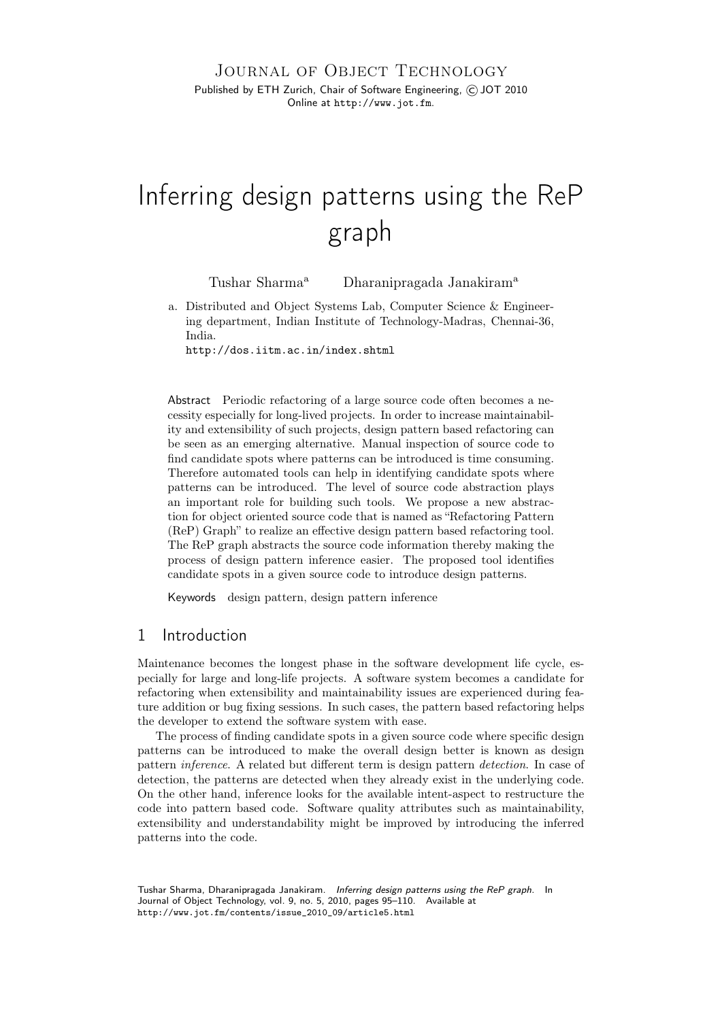JOURNAL OF OBJECT TECHNOLOGY Published by ETH Zurich, Chair of Software Engineering, C JOT 2010 Online at <http://www.jot.fm>.

# Inferring design patterns using the ReP graph

[Tushar Sharma](#page-15-0)<sup>[a](#page-0-0)</sup> [Dharanipragada Janakiram](#page-15-1)<sup>a</sup>

<span id="page-0-0"></span>a. Distributed and Object Systems Lab, Computer Science & Engineering department, Indian Institute of Technology-Madras, Chennai-36, India.

<http://dos.iitm.ac.in/index.shtml>

Abstract Periodic refactoring of a large source code often becomes a necessity especially for long-lived projects. In order to increase maintainability and extensibility of such projects, design pattern based refactoring can be seen as an emerging alternative. Manual inspection of source code to find candidate spots where patterns can be introduced is time consuming. Therefore automated tools can help in identifying candidate spots where patterns can be introduced. The level of source code abstraction plays an important role for building such tools. We propose a new abstraction for object oriented source code that is named as "Refactoring Pattern (ReP) Graph" to realize an effective design pattern based refactoring tool. The ReP graph abstracts the source code information thereby making the process of design pattern inference easier. The proposed tool identifies candidate spots in a given source code to introduce design patterns.

Keywords design pattern, design pattern inference

## 1 Introduction

Maintenance becomes the longest phase in the software development life cycle, especially for large and long-life projects. A software system becomes a candidate for refactoring when extensibility and maintainability issues are experienced during feature addition or bug fixing sessions. In such cases, the pattern based refactoring helps the developer to extend the software system with ease.

The process of finding candidate spots in a given source code where specific design patterns can be introduced to make the overall design better is known as design pattern inference. A related but different term is design pattern detection. In case of detection, the patterns are detected when they already exist in the underlying code. On the other hand, inference looks for the available intent-aspect to restructure the code into pattern based code. Software quality attributes such as maintainability, extensibility and understandability might be improved by introducing the inferred patterns into the code.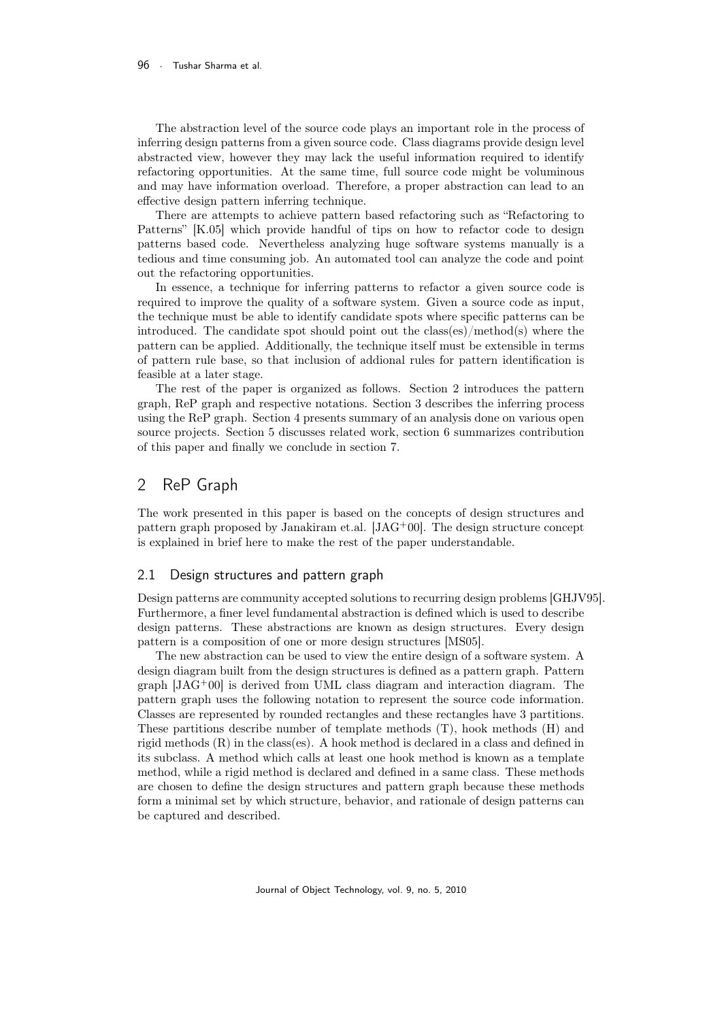The abstraction level of the source code plays an important role in the process of inferring design patterns from a given source code. Class diagrams provide design level abstracted view, however they may lack the useful information required to identify refactoring opportunities. At the same time, full source code might be voluminous and may have information overload. Therefore, a proper abstraction can lead to an effective design pattern inferring technique.

There are attempts to achieve pattern based refactoring such as "Refactoring to Patterns" [\[K.05\]](#page-13-0) which provide handful of tips on how to refactor code to design patterns based code. Nevertheless analyzing huge software systems manually is a tedious and time consuming job. An automated tool can analyze the code and point out the refactoring opportunities.

In essence, a technique for inferring patterns to refactor a given source code is required to improve the quality of a software system. Given a source code as input, the technique must be able to identify candidate spots where specific patterns can be introduced. The candidate spot should point out the class(es)/method(s) where the pattern can be applied. Additionally, the technique itself must be extensible in terms of pattern rule base, so that inclusion of addional rules for pattern identification is feasible at a later stage.

The rest of the paper is organized as follows. Section 2 introduces the pattern graph, ReP graph and respective notations. Section 3 describes the inferring process using the ReP graph. Section 4 presents summary of an analysis done on various open source projects. Section 5 discusses related work, section 6 summarizes contribution of this paper and finally we conclude in section 7.

## 2 ReP Graph

The work presented in this paper is based on the concepts of design structures and pattern graph proposed by Janakiram et.al.  $[JAG^+00]$  $[JAG^+00]$ . The design structure concept is explained in brief here to make the rest of the paper understandable.

#### 2.1 Design structures and pattern graph

Design patterns are community accepted solutions to recurring design problems [\[GHJV95\]](#page-13-2). Furthermore, a finer level fundamental abstraction is defined which is used to describe design patterns. These abstractions are known as design structures. Every design pattern is a composition of one or more design structures [\[MS05\]](#page-14-0).

The new abstraction can be used to view the entire design of a software system. A design diagram built from the design structures is defined as a pattern graph. Pattern  $graph$  [\[JAG](#page-13-1)<sup>+</sup>00] is derived from UML class diagram and interaction diagram. The pattern graph uses the following notation to represent the source code information. Classes are represented by rounded rectangles and these rectangles have 3 partitions. These partitions describe number of template methods (T), hook methods (H) and rigid methods (R) in the class(es). A hook method is declared in a class and defined in its subclass. A method which calls at least one hook method is known as a template method, while a rigid method is declared and defined in a same class. These methods are chosen to define the design structures and pattern graph because these methods form a minimal set by which structure, behavior, and rationale of design patterns can be captured and described.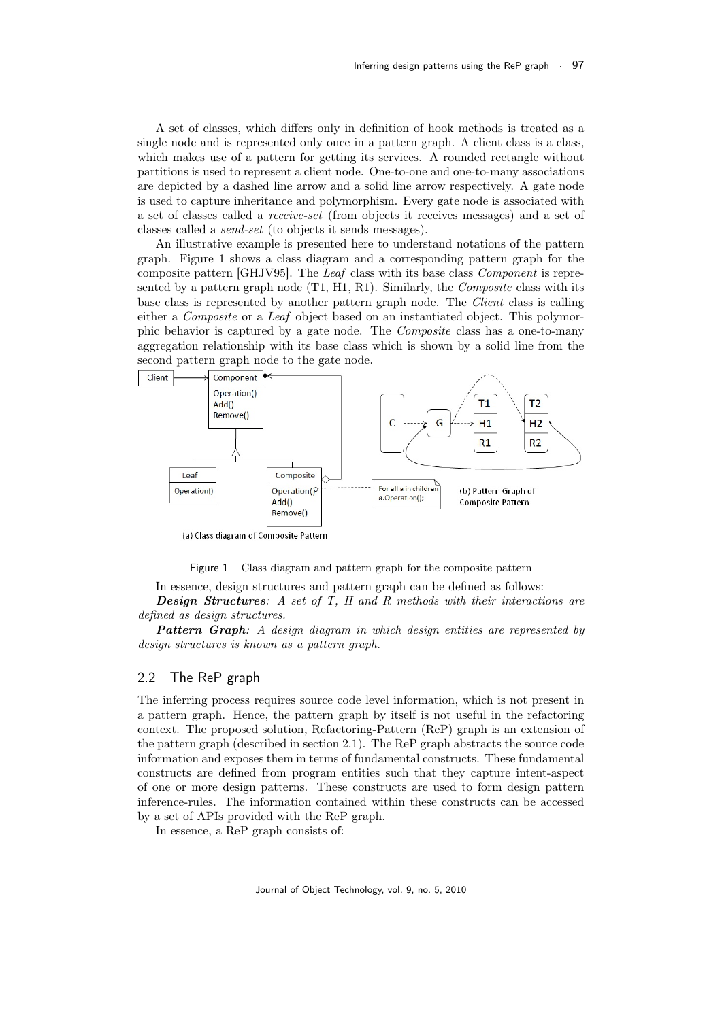A set of classes, which differs only in definition of hook methods is treated as a single node and is represented only once in a pattern graph. A client class is a class, which makes use of a pattern for getting its services. A rounded rectangle without partitions is used to represent a client node. One-to-one and one-to-many associations are depicted by a dashed line arrow and a solid line arrow respectively. A gate node is used to capture inheritance and polymorphism. Every gate node is associated with a set of classes called a receive-set (from objects it receives messages) and a set of classes called a send-set (to objects it sends messages).

An illustrative example is presented here to understand notations of the pattern graph. Figure [1](#page-2-0) shows a class diagram and a corresponding pattern graph for the composite pattern [\[GHJV95\]](#page-13-2). The Leaf class with its base class Component is represented by a pattern graph node  $(T1, H1, R1)$ . Similarly, the *Composite* class with its base class is represented by another pattern graph node. The Client class is calling either a Composite or a Leaf object based on an instantiated object. This polymorphic behavior is captured by a gate node. The Composite class has a one-to-many aggregation relationship with its base class which is shown by a solid line from the second pattern graph node to the gate node.

<span id="page-2-0"></span>

(a) Class diagram of Composite Pattern

Figure  $1 - Class$  diagram and pattern graph for the composite pattern

In essence, design structures and pattern graph can be defined as follows:

**Design Structures:** A set of T, H and R methods with their interactions are defined as design structures.

**Pattern Graph**: A design diagram in which design entities are represented by design structures is known as a pattern graph.

#### 2.2 The ReP graph

The inferring process requires source code level information, which is not present in a pattern graph. Hence, the pattern graph by itself is not useful in the refactoring context. The proposed solution, Refactoring-Pattern (ReP) graph is an extension of the pattern graph (described in section 2.1). The ReP graph abstracts the source code information and exposes them in terms of fundamental constructs. These fundamental constructs are defined from program entities such that they capture intent-aspect of one or more design patterns. These constructs are used to form design pattern inference-rules. The information contained within these constructs can be accessed by a set of APIs provided with the ReP graph.

In essence, a ReP graph consists of: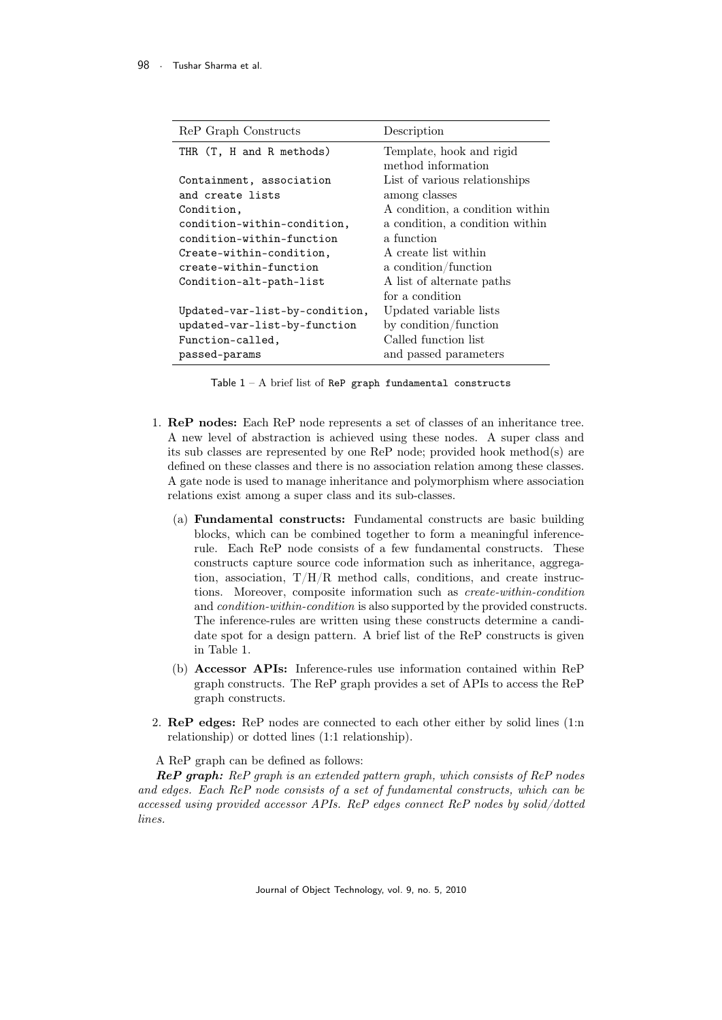<span id="page-3-0"></span>

| ReP Graph Constructs                         | Description                                    |
|----------------------------------------------|------------------------------------------------|
| THR (T, H and R methods)                     | Template, hook and rigid<br>method information |
| Containment, association<br>and create lists | List of various relationships<br>among classes |
| Condition,                                   | A condition, a condition within                |
| condition-within-condition,                  | a condition, a condition within                |
| condition-within-function                    | a function                                     |
| Create-within-condition,                     | A create list within                           |
| create-within-function                       | a condition/function                           |
| Condition-alt-path-list                      | A list of alternate paths                      |
|                                              | for a condition                                |
| Updated-var-list-by-condition,               | Updated variable lists                         |
| updated-var-list-by-function                 | by condition/function                          |
| Function-called,                             | Called function list                           |
| passed-params                                | and passed parameters                          |

Table  $1 - A$  brief list of ReP graph fundamental constructs

- 1. ReP nodes: Each ReP node represents a set of classes of an inheritance tree. A new level of abstraction is achieved using these nodes. A super class and its sub classes are represented by one ReP node; provided hook method(s) are defined on these classes and there is no association relation among these classes. A gate node is used to manage inheritance and polymorphism where association relations exist among a super class and its sub-classes.
	- (a) Fundamental constructs: Fundamental constructs are basic building blocks, which can be combined together to form a meaningful inferencerule. Each ReP node consists of a few fundamental constructs. These constructs capture source code information such as inheritance, aggregation, association,  $T/H/R$  method calls, conditions, and create instructions. Moreover, composite information such as create-within-condition and condition-within-condition is also supported by the provided constructs. The inference-rules are written using these constructs determine a candidate spot for a design pattern. A brief list of the ReP constructs is given in Table [1.](#page-3-0)
	- (b) Accessor APIs: Inference-rules use information contained within ReP graph constructs. The ReP graph provides a set of APIs to access the ReP graph constructs.
- 2. ReP edges: ReP nodes are connected to each other either by solid lines (1:n relationship) or dotted lines (1:1 relationship).

A ReP graph can be defined as follows:

ReP graph: ReP graph is an extended pattern graph, which consists of ReP nodes and edges. Each ReP node consists of a set of fundamental constructs, which can be accessed using provided accessor APIs. ReP edges connect ReP nodes by solid/dotted lines.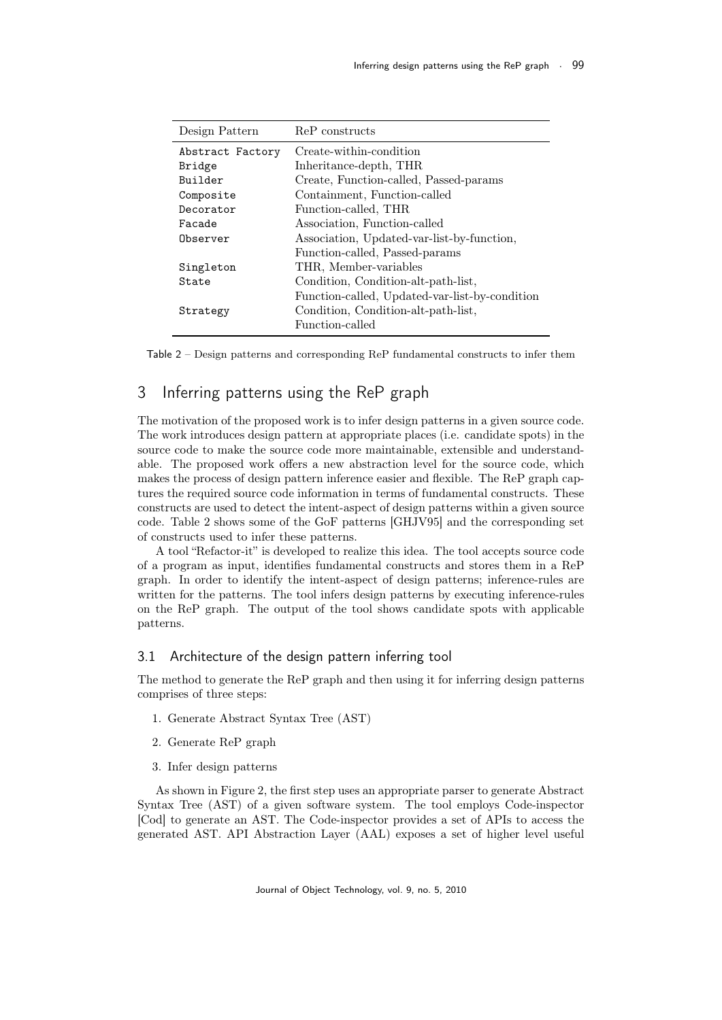<span id="page-4-0"></span>

| Design Pattern   | ReP constructs                                 |
|------------------|------------------------------------------------|
| Abstract Factory | Create-within-condition                        |
| Bridge           | Inheritance-depth, THR                         |
| Builder          | Create, Function-called, Passed-params         |
| Composite        | Containment, Function-called                   |
| Decorator        | Function-called, THR                           |
| Facade           | Association, Function-called                   |
| Observer         | Association, Updated-var-list-by-function,     |
|                  | Function-called, Passed-params                 |
| Singleton        | THR, Member-variables                          |
| State            | Condition, Condition-alt-path-list,            |
|                  | Function-called, Updated-var-list-by-condition |
| Strategy         | Condition, Condition-alt-path-list,            |
|                  | Function-called                                |

Table 2 – Design patterns and corresponding ReP fundamental constructs to infer them

# 3 Inferring patterns using the ReP graph

The motivation of the proposed work is to infer design patterns in a given source code. The work introduces design pattern at appropriate places (i.e. candidate spots) in the source code to make the source code more maintainable, extensible and understandable. The proposed work offers a new abstraction level for the source code, which makes the process of design pattern inference easier and flexible. The ReP graph captures the required source code information in terms of fundamental constructs. These constructs are used to detect the intent-aspect of design patterns within a given source code. Table [2](#page-4-0) shows some of the GoF patterns [\[GHJV95\]](#page-13-2) and the corresponding set of constructs used to infer these patterns.

A tool "Refactor-it" is developed to realize this idea. The tool accepts source code of a program as input, identifies fundamental constructs and stores them in a ReP graph. In order to identify the intent-aspect of design patterns; inference-rules are written for the patterns. The tool infers design patterns by executing inference-rules on the ReP graph. The output of the tool shows candidate spots with applicable patterns.

#### 3.1 Architecture of the design pattern inferring tool

The method to generate the ReP graph and then using it for inferring design patterns comprises of three steps:

- 1. Generate Abstract Syntax Tree (AST)
- 2. Generate ReP graph
- 3. Infer design patterns

As shown in Figure [2,](#page-5-0) the first step uses an appropriate parser to generate Abstract Syntax Tree (AST) of a given software system. The tool employs Code-inspector [\[Cod\]](#page-13-3) to generate an AST. The Code-inspector provides a set of APIs to access the generated AST. API Abstraction Layer (AAL) exposes a set of higher level useful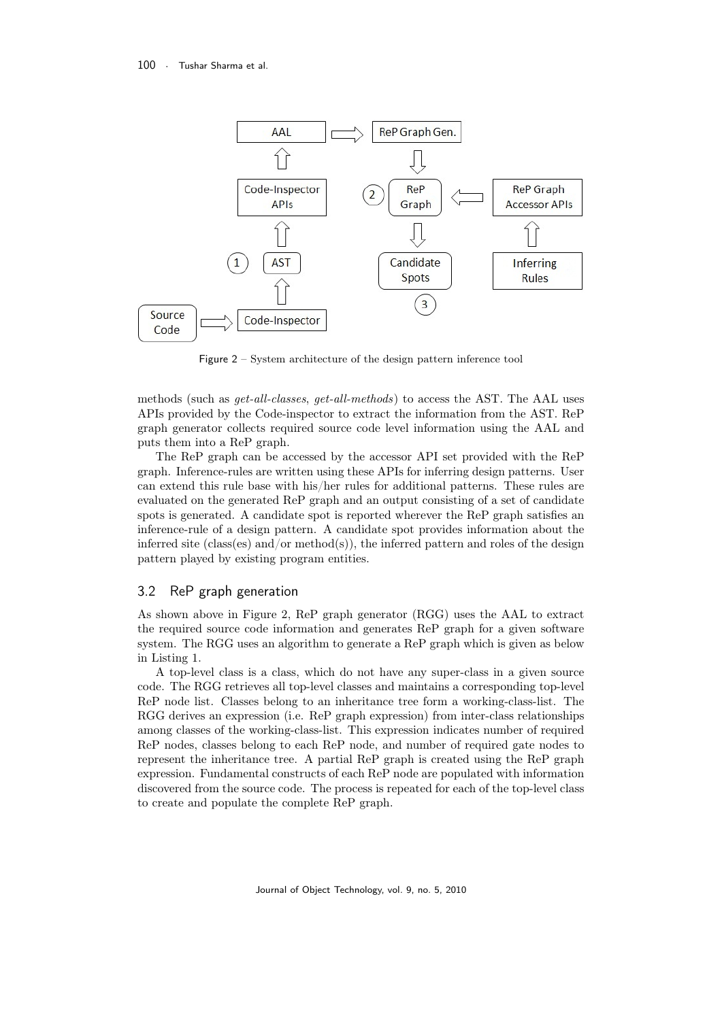<span id="page-5-0"></span>

Figure 2 – System architecture of the design pattern inference tool

methods (such as get-all-classes, get-all-methods) to access the AST. The AAL uses APIs provided by the Code-inspector to extract the information from the AST. ReP graph generator collects required source code level information using the AAL and puts them into a ReP graph.

The ReP graph can be accessed by the accessor API set provided with the ReP graph. Inference-rules are written using these APIs for inferring design patterns. User can extend this rule base with his/her rules for additional patterns. These rules are evaluated on the generated ReP graph and an output consisting of a set of candidate spots is generated. A candidate spot is reported wherever the ReP graph satisfies an inference-rule of a design pattern. A candidate spot provides information about the inferred site (class(es) and/or method(s)), the inferred pattern and roles of the design pattern played by existing program entities.

#### 3.2 ReP graph generation

As shown above in Figure [2,](#page-5-0) ReP graph generator (RGG) uses the AAL to extract the required source code information and generates ReP graph for a given software system. The RGG uses an algorithm to generate a ReP graph which is given as below in Listing [1.](#page-6-0)

A top-level class is a class, which do not have any super-class in a given source code. The RGG retrieves all top-level classes and maintains a corresponding top-level ReP node list. Classes belong to an inheritance tree form a working-class-list. The RGG derives an expression (i.e. ReP graph expression) from inter-class relationships among classes of the working-class-list. This expression indicates number of required ReP nodes, classes belong to each ReP node, and number of required gate nodes to represent the inheritance tree. A partial ReP graph is created using the ReP graph expression. Fundamental constructs of each ReP node are populated with information discovered from the source code. The process is repeated for each of the top-level class to create and populate the complete ReP graph.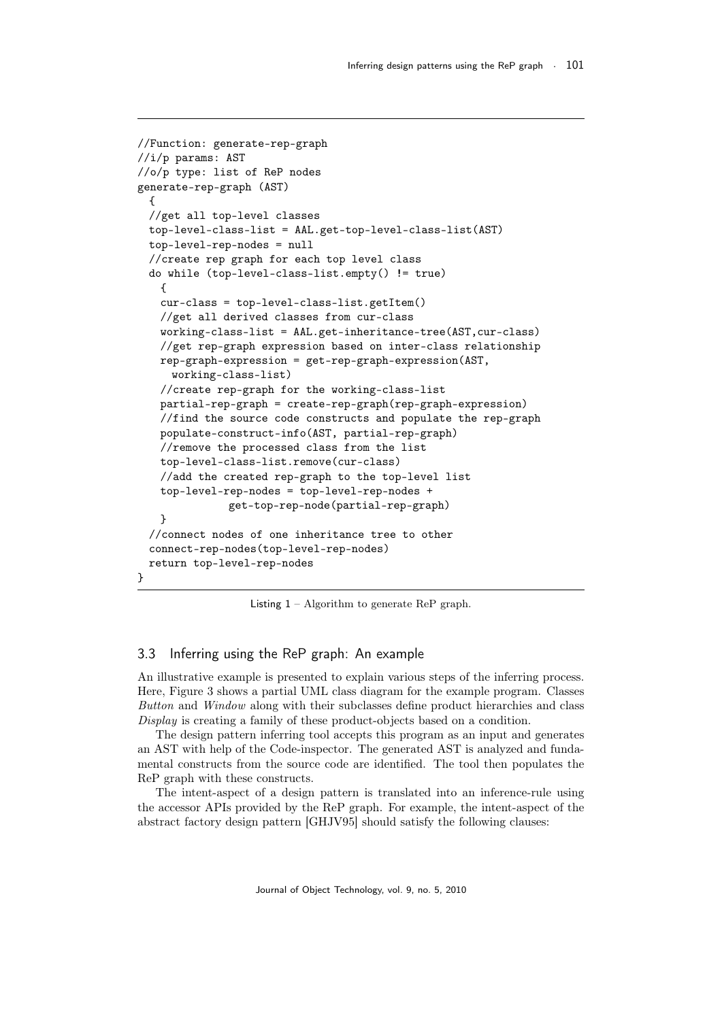```
//Function: generate-rep-graph
//i/p params: AST
//o/p type: list of ReP nodes
generate-rep-graph (AST)
 {
 //get all top-level classes
 top-level-class-list = AAL.get-top-level-class-list(AST)
 top-level-rep-nodes = null
 //create rep graph for each top level class
 do while (top-level-class-list.empty() != true)
   {
   cur-class = top-level-class-list.getItem()
   //get all derived classes from cur-class
   working-class-list = AAL.get-inheritance-tree(AST,cur-class)
   //get rep-graph expression based on inter-class relationship
   rep-graph-expression = get-rep-graph-expression(AST,
     working-class-list)
   //create rep-graph for the working-class-list
   partial-rep-graph = create-rep-graph(rep-graph-expression)
   //find the source code constructs and populate the rep-graph
   populate-construct-info(AST, partial-rep-graph)
   //remove the processed class from the list
   top-level-class-list.remove(cur-class)
   //add the created rep-graph to the top-level list
   top-level-rep-nodes = top-level-rep-nodes +
              get-top-rep-node(partial-rep-graph)
   }
 //connect nodes of one inheritance tree to other
 connect-rep-nodes(top-level-rep-nodes)
 return top-level-rep-nodes
}
```
Listing  $1 -$  Algorithm to generate ReP graph.

#### 3.3 Inferring using the ReP graph: An example

An illustrative example is presented to explain various steps of the inferring process. Here, Figure [3](#page-7-0) shows a partial UML class diagram for the example program. Classes Button and Window along with their subclasses define product hierarchies and class Display is creating a family of these product-objects based on a condition.

The design pattern inferring tool accepts this program as an input and generates an AST with help of the Code-inspector. The generated AST is analyzed and fundamental constructs from the source code are identified. The tool then populates the ReP graph with these constructs.

The intent-aspect of a design pattern is translated into an inference-rule using the accessor APIs provided by the ReP graph. For example, the intent-aspect of the abstract factory design pattern [\[GHJV95\]](#page-13-2) should satisfy the following clauses: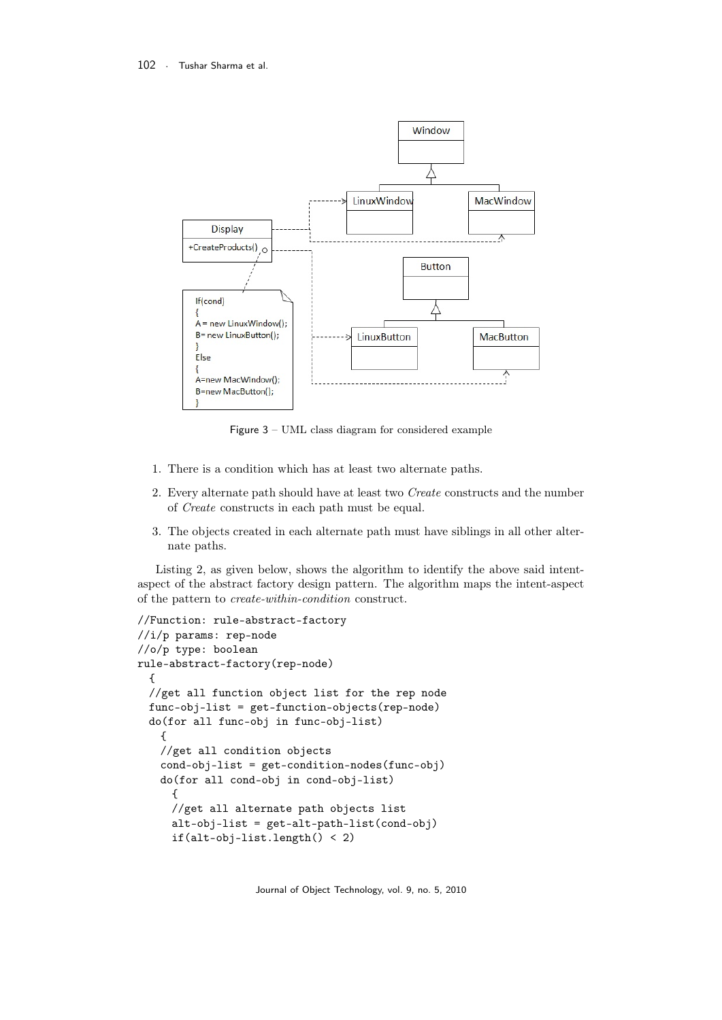<span id="page-7-0"></span>

Figure 3 – UML class diagram for considered example

- 1. There is a condition which has at least two alternate paths.
- 2. Every alternate path should have at least two Create constructs and the number of Create constructs in each path must be equal.
- 3. The objects created in each alternate path must have siblings in all other alternate paths.

Listing [2,](#page-7-1) as given below, shows the algorithm to identify the above said intentaspect of the abstract factory design pattern. The algorithm maps the intent-aspect of the pattern to create-within-condition construct.

```
//Function: rule-abstract-factory
//i/p params: rep-node
//o/p type: boolean
rule-abstract-factory(rep-node)
  {
 //get all function object list for the rep node
 func-obj-list = get-function-objects(rep-node)
 do(for all func-obj in func-obj-list)
   {
   //get all condition objects
   cond-obj-list = get-condition-nodes(func-obj)
   do(for all cond-obj in cond-obj-list)
     {
     //get all alternate path objects list
     alt-obj-list = get-alt-path-list (cond-obj)if(alt-obj-list.length() < 2)
```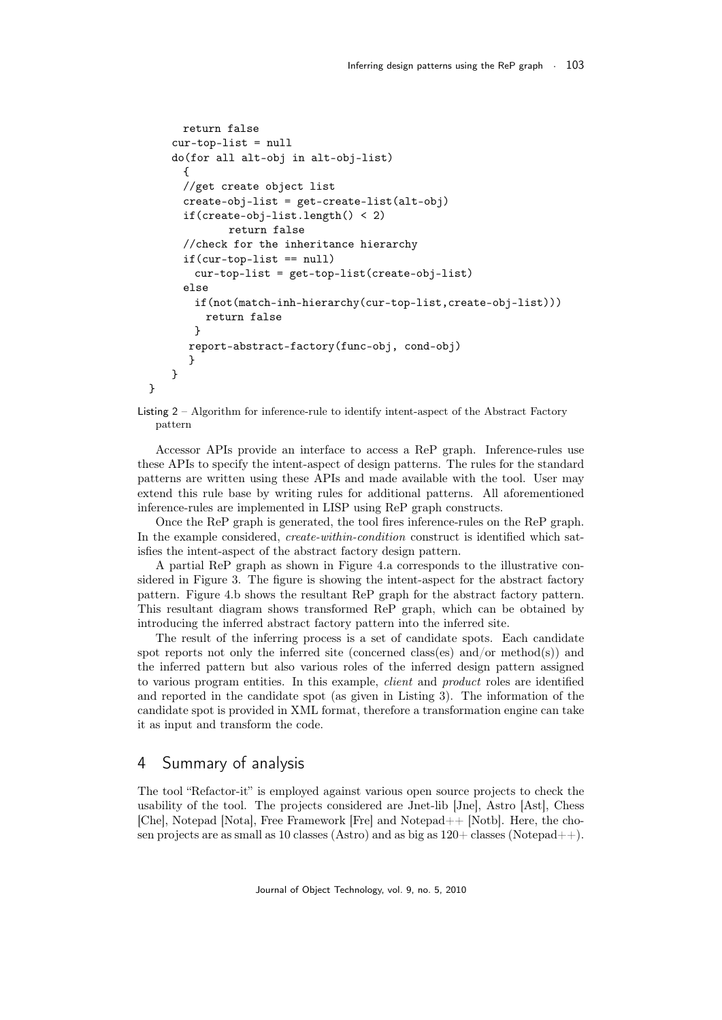```
return false
cur-top-list = null
do(for all alt-obj in alt-obj-list)
 {
 //get create object list
 create-obj-list = get-create-list(alt-obj)
 if(create-obj-list.length() < 2)
         return false
 //check for the inheritance hierarchy
 if(cur-top-list == null)
   cur-top-list = get-top-list(create-obj-list)
 else
   if(not(match-inh-hierarchy(cur-top-list,create-obj-list)))
     return false
   }
  report-abstract-factory(func-obj, cond-obj)
   }
}
```
Listing 2 – Algorithm for inference-rule to identify intent-aspect of the Abstract Factory pattern

Accessor APIs provide an interface to access a ReP graph. Inference-rules use these APIs to specify the intent-aspect of design patterns. The rules for the standard patterns are written using these APIs and made available with the tool. User may extend this rule base by writing rules for additional patterns. All aforementioned inference-rules are implemented in LISP using ReP graph constructs.

Once the ReP graph is generated, the tool fires inference-rules on the ReP graph. In the example considered, *create-within-condition* construct is identified which satisfies the intent-aspect of the abstract factory design pattern.

A partial ReP graph as shown in Figure [4.](#page-9-0)a corresponds to the illustrative considered in Figure [3.](#page-7-0) The figure is showing the intent-aspect for the abstract factory pattern. Figure [4.](#page-9-0)b shows the resultant ReP graph for the abstract factory pattern. This resultant diagram shows transformed ReP graph, which can be obtained by introducing the inferred abstract factory pattern into the inferred site.

The result of the inferring process is a set of candidate spots. Each candidate spot reports not only the inferred site (concerned class(es) and/or method(s)) and the inferred pattern but also various roles of the inferred design pattern assigned to various program entities. In this example, client and product roles are identified and reported in the candidate spot (as given in Listing [3\)](#page-10-0). The information of the candidate spot is provided in XML format, therefore a transformation engine can take it as input and transform the code.

# 4 Summary of analysis

}

The tool "Refactor-it" is employed against various open source projects to check the usability of the tool. The projects considered are Jnet-lib [\[Jne\]](#page-13-4), Astro [\[Ast\]](#page-13-5), Chess [\[Che\]](#page-13-6), Notepad [\[Nota\]](#page-14-1), Free Framework [\[Fre\]](#page-13-7) and Notepad++ [\[Notb\]](#page-14-2). Here, the chosen projects are as small as 10 classes (Astro) and as big as  $120+$  classes (Notepad++).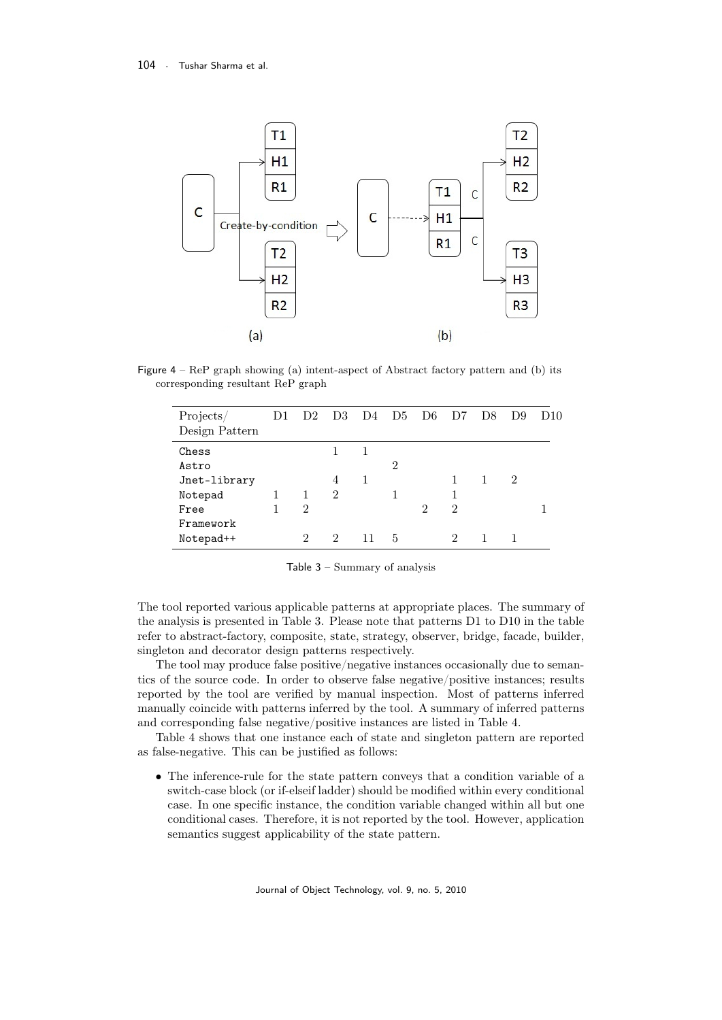<span id="page-9-0"></span>

Figure  $4 - \text{ReP}$  graph showing (a) intent-aspect of Abstract factory pattern and (b) its corresponding resultant ReP graph

<span id="page-9-1"></span>

| Projects/<br>Design Pattern | D1 | D2             |               | D3 D4 D5 D6 D7 |   |               |               | D <sub>8</sub> | D9 | D10 |
|-----------------------------|----|----------------|---------------|----------------|---|---------------|---------------|----------------|----|-----|
| Chess                       |    |                |               |                |   |               |               |                |    |     |
| Astro                       |    |                |               |                | 2 |               |               |                |    |     |
| Jnet-library                |    |                | 4             | 1              |   |               |               |                | 2  |     |
| Notepad                     |    | 1              | 2             |                |   |               |               |                |    |     |
| Free                        |    | $\overline{2}$ |               |                |   | $\mathcal{D}$ | $\mathcal{D}$ |                |    |     |
| Framework                   |    |                |               |                |   |               |               |                |    |     |
| Notepad++                   |    | $\mathfrak{D}$ | $\mathcal{L}$ | 11             | 5 |               | 2             |                |    |     |

Table 3 – Summary of analysis

The tool reported various applicable patterns at appropriate places. The summary of the analysis is presented in Table [3.](#page-9-1) Please note that patterns D1 to D10 in the table refer to abstract-factory, composite, state, strategy, observer, bridge, facade, builder, singleton and decorator design patterns respectively.

The tool may produce false positive/negative instances occasionally due to semantics of the source code. In order to observe false negative/positive instances; results reported by the tool are verified by manual inspection. Most of patterns inferred manually coincide with patterns inferred by the tool. A summary of inferred patterns and corresponding false negative/positive instances are listed in Table [4.](#page-11-0)

Table [4](#page-11-0) shows that one instance each of state and singleton pattern are reported as false-negative. This can be justified as follows:

• The inference-rule for the state pattern conveys that a condition variable of a switch-case block (or if-elseif ladder) should be modified within every conditional case. In one specific instance, the condition variable changed within all but one conditional cases. Therefore, it is not reported by the tool. However, application semantics suggest applicability of the state pattern.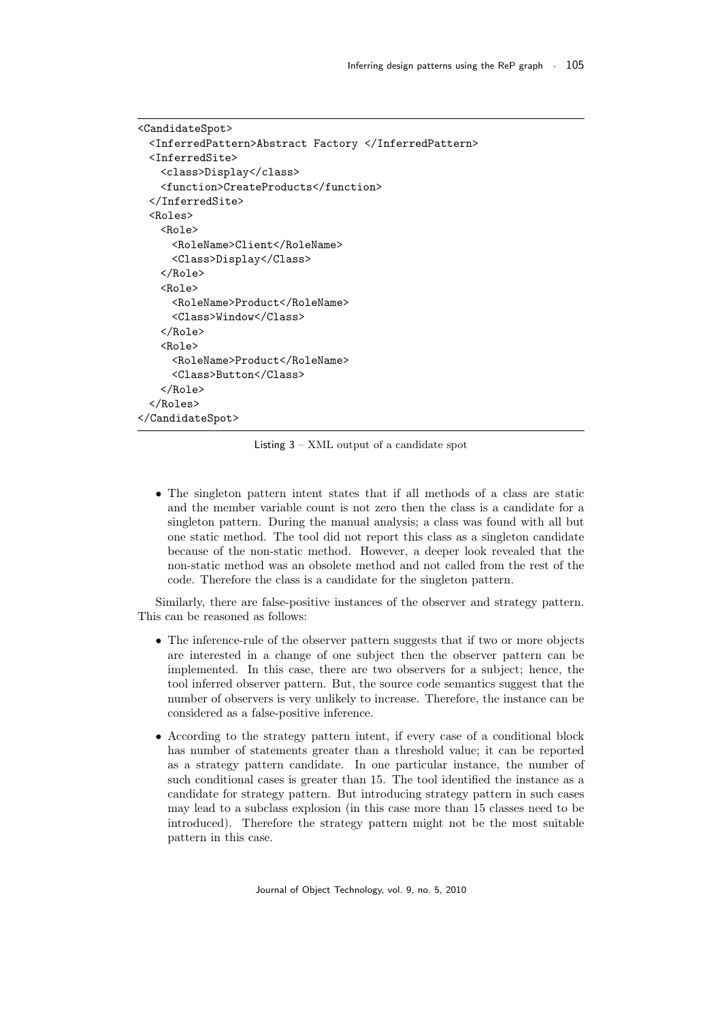```
<CandidateSpot>
  <InferredPattern>Abstract Factory </InferredPattern>
  <InferredSite>
    <class>Display</class>
    <function>CreateProducts</function>
  </InferredSite>
  <Roles>
    <Role>
     <RoleName>Client</RoleName>
     <Class>Display</Class>
    \langle/Role>
    CRO1a<RoleName>Product</RoleName>
     <Class>Window</Class>
    \langle/Role>
    <Role><RoleName>Product</RoleName>
     <Class>Button</Class>
    </Role>
  </Roles>
</CandidateSpot>
```
Listing 3 – XML output of a candidate spot

• The singleton pattern intent states that if all methods of a class are static and the member variable count is not zero then the class is a candidate for a singleton pattern. During the manual analysis; a class was found with all but one static method. The tool did not report this class as a singleton candidate because of the non-static method. However, a deeper look revealed that the non-static method was an obsolete method and not called from the rest of the code. Therefore the class is a candidate for the singleton pattern.

Similarly, there are false-positive instances of the observer and strategy pattern. This can be reasoned as follows:

- The inference-rule of the observer pattern suggests that if two or more objects are interested in a change of one subject then the observer pattern can be implemented. In this case, there are two observers for a subject; hence, the tool inferred observer pattern. But, the source code semantics suggest that the number of observers is very unlikely to increase. Therefore, the instance can be considered as a false-positive inference.
- According to the strategy pattern intent, if every case of a conditional block has number of statements greater than a threshold value; it can be reported as a strategy pattern candidate. In one particular instance, the number of such conditional cases is greater than 15. The tool identified the instance as a candidate for strategy pattern. But introducing strategy pattern in such cases may lead to a subclass explosion (in this case more than 15 classes need to be introduced). Therefore the strategy pattern might not be the most suitable pattern in this case.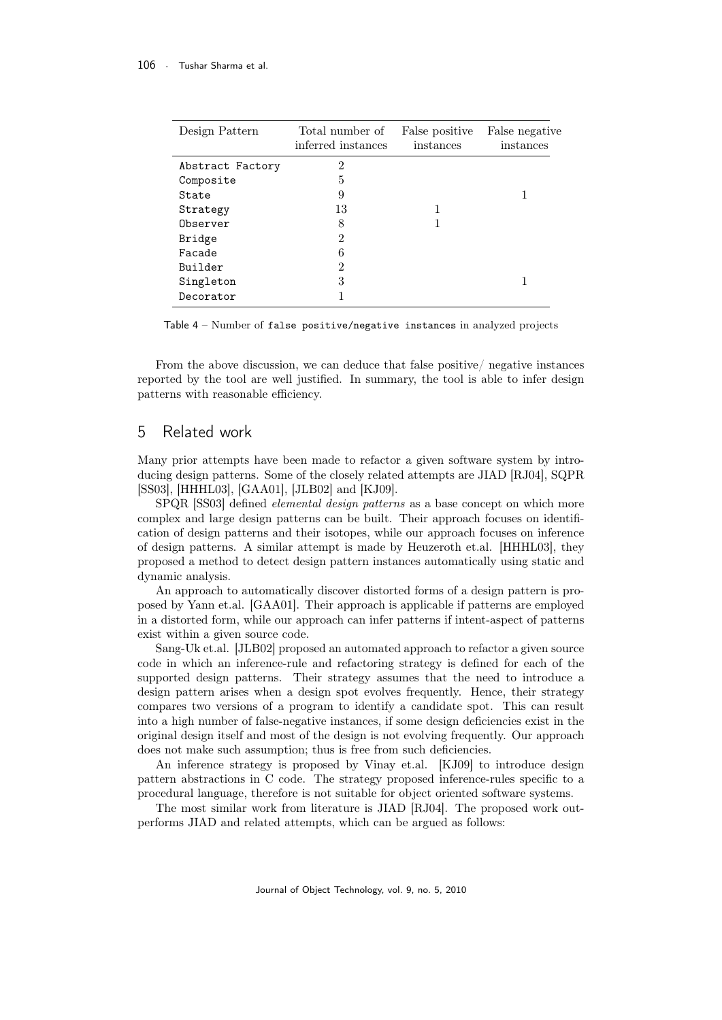<span id="page-11-0"></span>

| Design Pattern   | Total number of<br>inferred instances | False positive<br>instances | False negative<br>instances |
|------------------|---------------------------------------|-----------------------------|-----------------------------|
| Abstract Factory | $\overline{2}$                        |                             |                             |
| Composite        | 5                                     |                             |                             |
| State            | 9                                     |                             |                             |
| Strategy         | 13                                    |                             |                             |
| Observer         | 8                                     |                             |                             |
| Bridge           | $\overline{2}$                        |                             |                             |
| Facade           | 6                                     |                             |                             |
| Builder          | $\mathfrak{D}$                        |                             |                             |
| Singleton        | 3                                     |                             |                             |
| Decorator        |                                       |                             |                             |

Table 4 – Number of false positive/negative instances in analyzed projects

From the above discussion, we can deduce that false positive/ negative instances reported by the tool are well justified. In summary, the tool is able to infer design patterns with reasonable efficiency.

## 5 Related work

Many prior attempts have been made to refactor a given software system by introducing design patterns. Some of the closely related attempts are JIAD [\[RJ04\]](#page-14-3), SQPR [\[SS03\]](#page-14-4), [\[HHHL03\]](#page-13-8), [\[GAA01\]](#page-13-9), [\[JLB02\]](#page-13-10) and [\[KJ09\]](#page-14-5).

SPQR [\[SS03\]](#page-14-4) defined elemental design patterns as a base concept on which more complex and large design patterns can be built. Their approach focuses on identification of design patterns and their isotopes, while our approach focuses on inference of design patterns. A similar attempt is made by Heuzeroth et.al. [\[HHHL03\]](#page-13-8), they proposed a method to detect design pattern instances automatically using static and dynamic analysis.

An approach to automatically discover distorted forms of a design pattern is proposed by Yann et.al. [\[GAA01\]](#page-13-9). Their approach is applicable if patterns are employed in a distorted form, while our approach can infer patterns if intent-aspect of patterns exist within a given source code.

Sang-Uk et.al. [\[JLB02\]](#page-13-10) proposed an automated approach to refactor a given source code in which an inference-rule and refactoring strategy is defined for each of the supported design patterns. Their strategy assumes that the need to introduce a design pattern arises when a design spot evolves frequently. Hence, their strategy compares two versions of a program to identify a candidate spot. This can result into a high number of false-negative instances, if some design deficiencies exist in the original design itself and most of the design is not evolving frequently. Our approach does not make such assumption; thus is free from such deficiencies.

An inference strategy is proposed by Vinay et.al. [\[KJ09\]](#page-14-5) to introduce design pattern abstractions in C code. The strategy proposed inference-rules specific to a procedural language, therefore is not suitable for object oriented software systems.

The most similar work from literature is JIAD [\[RJ04\]](#page-14-3). The proposed work outperforms JIAD and related attempts, which can be argued as follows: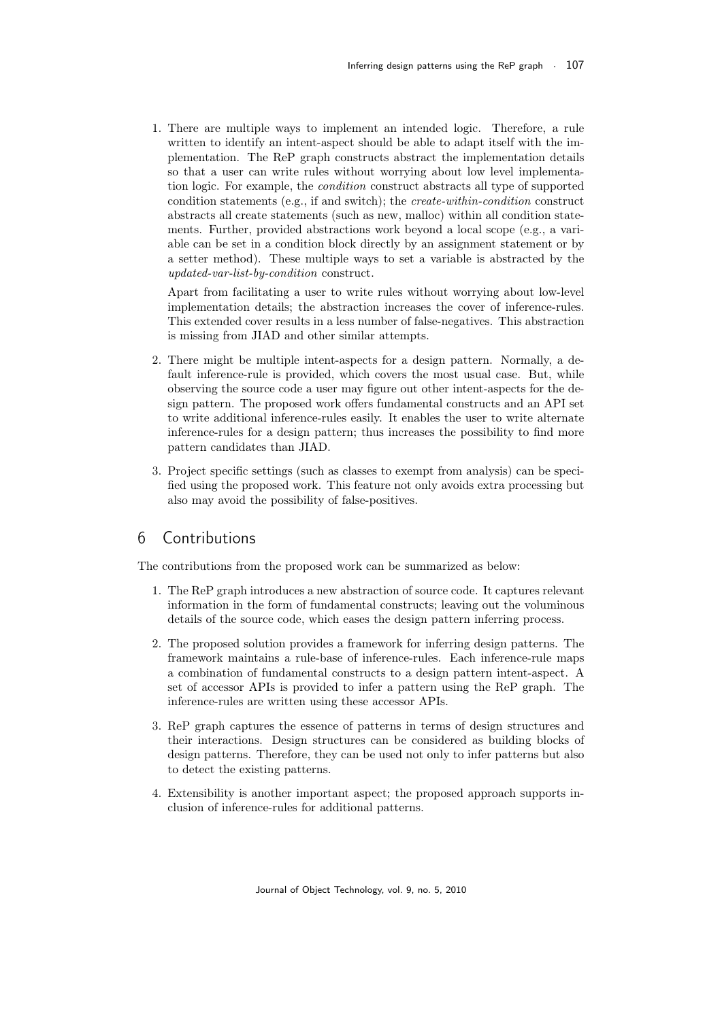1. There are multiple ways to implement an intended logic. Therefore, a rule written to identify an intent-aspect should be able to adapt itself with the implementation. The ReP graph constructs abstract the implementation details so that a user can write rules without worrying about low level implementation logic. For example, the condition construct abstracts all type of supported condition statements (e.g., if and switch); the create-within-condition construct abstracts all create statements (such as new, malloc) within all condition statements. Further, provided abstractions work beyond a local scope (e.g., a variable can be set in a condition block directly by an assignment statement or by a setter method). These multiple ways to set a variable is abstracted by the updated-var-list-by-condition construct.

Apart from facilitating a user to write rules without worrying about low-level implementation details; the abstraction increases the cover of inference-rules. This extended cover results in a less number of false-negatives. This abstraction is missing from JIAD and other similar attempts.

- 2. There might be multiple intent-aspects for a design pattern. Normally, a default inference-rule is provided, which covers the most usual case. But, while observing the source code a user may figure out other intent-aspects for the design pattern. The proposed work offers fundamental constructs and an API set to write additional inference-rules easily. It enables the user to write alternate inference-rules for a design pattern; thus increases the possibility to find more pattern candidates than JIAD.
- 3. Project specific settings (such as classes to exempt from analysis) can be specified using the proposed work. This feature not only avoids extra processing but also may avoid the possibility of false-positives.

## 6 Contributions

The contributions from the proposed work can be summarized as below:

- 1. The ReP graph introduces a new abstraction of source code. It captures relevant information in the form of fundamental constructs; leaving out the voluminous details of the source code, which eases the design pattern inferring process.
- 2. The proposed solution provides a framework for inferring design patterns. The framework maintains a rule-base of inference-rules. Each inference-rule maps a combination of fundamental constructs to a design pattern intent-aspect. A set of accessor APIs is provided to infer a pattern using the ReP graph. The inference-rules are written using these accessor APIs.
- 3. ReP graph captures the essence of patterns in terms of design structures and their interactions. Design structures can be considered as building blocks of design patterns. Therefore, they can be used not only to infer patterns but also to detect the existing patterns.
- 4. Extensibility is another important aspect; the proposed approach supports inclusion of inference-rules for additional patterns.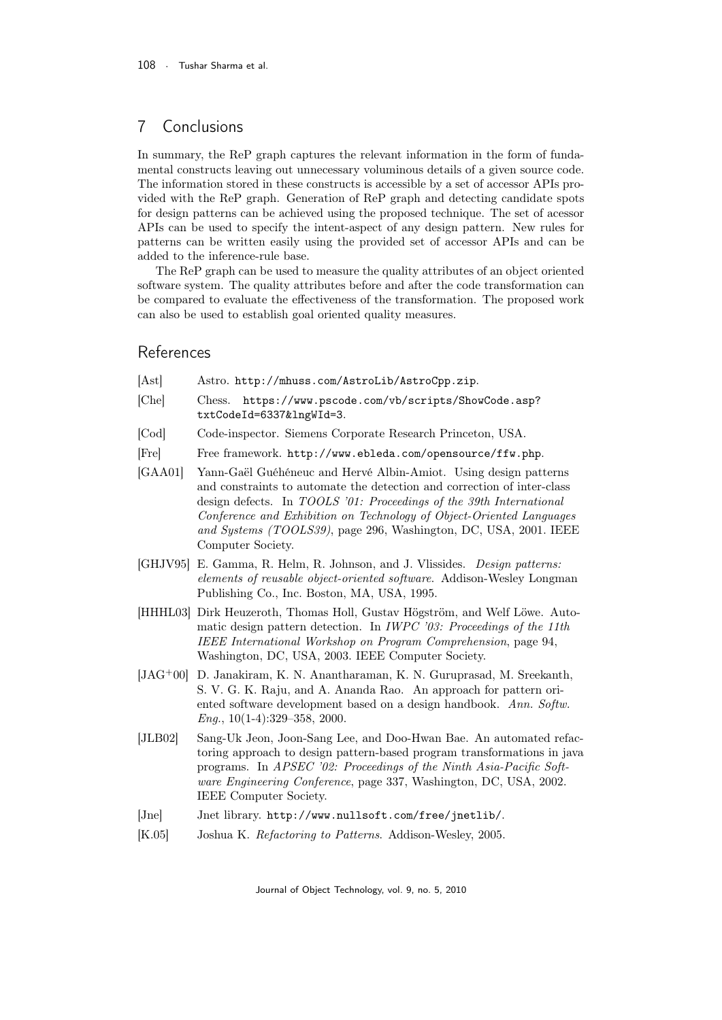# 7 Conclusions

In summary, the ReP graph captures the relevant information in the form of fundamental constructs leaving out unnecessary voluminous details of a given source code. The information stored in these constructs is accessible by a set of accessor APIs provided with the ReP graph. Generation of ReP graph and detecting candidate spots for design patterns can be achieved using the proposed technique. The set of acessor APIs can be used to specify the intent-aspect of any design pattern. New rules for patterns can be written easily using the provided set of accessor APIs and can be added to the inference-rule base.

The ReP graph can be used to measure the quality attributes of an object oriented software system. The quality attributes before and after the code transformation can be compared to evaluate the effectiveness of the transformation. The proposed work can also be used to establish goal oriented quality measures.

## References

- <span id="page-13-5"></span>[Ast] Astro. <http://mhuss.com/AstroLib/AstroCpp.zip>.
- <span id="page-13-6"></span>[Che] Chess. [https://www.pscode.com/vb/scripts/ShowCode.asp?](https://www.pscode.com/vb/scripts/ShowCode.asp?txtCodeId=6337&lngWId=3) [txtCodeId=6337&lngWId=3](https://www.pscode.com/vb/scripts/ShowCode.asp?txtCodeId=6337&lngWId=3).
- <span id="page-13-3"></span>[Cod] Code-inspector. Siemens Corporate Research Princeton, USA.
- <span id="page-13-7"></span>[Fre] Free framework. <http://www.ebleda.com/opensource/ffw.php>.
- <span id="page-13-9"></span>[GAA01] Yann-Gaël Guéhéneuc and Hervé Albin-Amiot. Using design patterns and constraints to automate the detection and correction of inter-class design defects. In TOOLS '01: Proceedings of the 39th International Conference and Exhibition on Technology of Object-Oriented Languages and Systems (TOOLS39), page 296, Washington, DC, USA, 2001. IEEE Computer Society.
- <span id="page-13-2"></span>[GHJV95] E. Gamma, R. Helm, R. Johnson, and J. Vlissides. Design patterns: elements of reusable object-oriented software. Addison-Wesley Longman Publishing Co., Inc. Boston, MA, USA, 1995.
- <span id="page-13-8"></span>[HHHL03] Dirk Heuzeroth, Thomas Holl, Gustav Högström, and Welf Löwe. Automatic design pattern detection. In *IWPC '03: Proceedings of the 11th* IEEE International Workshop on Program Comprehension, page 94, Washington, DC, USA, 2003. IEEE Computer Society.
- <span id="page-13-1"></span>[JAG+00] D. Janakiram, K. N. Anantharaman, K. N. Guruprasad, M. Sreekanth, S. V. G. K. Raju, and A. Ananda Rao. An approach for pattern oriented software development based on a design handbook. Ann. Softw.  $Eng., 10(1-4):329-358, 2000.$
- <span id="page-13-10"></span>[JLB02] Sang-Uk Jeon, Joon-Sang Lee, and Doo-Hwan Bae. An automated refactoring approach to design pattern-based program transformations in java programs. In APSEC '02: Proceedings of the Ninth Asia-Pacific Software Engineering Conference, page 337, Washington, DC, USA, 2002. IEEE Computer Society.
- <span id="page-13-4"></span>[Jne] Jnet library. <http://www.nullsoft.com/free/jnetlib/>.
- <span id="page-13-0"></span>[K.05] Joshua K. Refactoring to Patterns. Addison-Wesley, 2005.

[Journal of Object Technology, vol. 9, no. 5, 2010](http://www.jot.fm/contents/issue_2010_09/article5.html)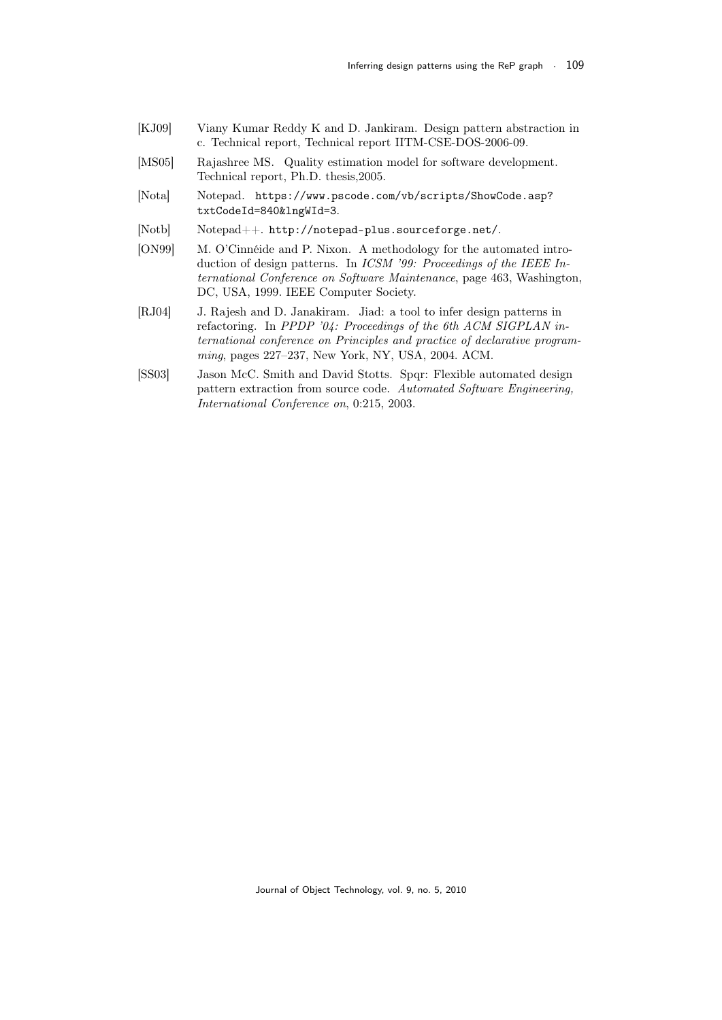- <span id="page-14-5"></span>[KJ09] Viany Kumar Reddy K and D. Jankiram. Design pattern abstraction in c. Technical report, Technical report IITM-CSE-DOS-2006-09.
- <span id="page-14-0"></span>[MS05] Rajashree MS. Quality estimation model for software development. Technical report, Ph.D. thesis,2005.
- <span id="page-14-1"></span>[Nota] Notepad. [https://www.pscode.com/vb/scripts/ShowCode.asp?](https://www.pscode.com/vb/scripts/ShowCode.asp?txtCodeId=840&lngWId=3) [txtCodeId=840&lngWId=3](https://www.pscode.com/vb/scripts/ShowCode.asp?txtCodeId=840&lngWId=3).
- <span id="page-14-2"></span>[Notb] Notepad++. <http://notepad-plus.sourceforge.net/>.
- [ON99] M. O'Cinnéide and P. Nixon. A methodology for the automated introduction of design patterns. In *ICSM* '99: Proceedings of the IEEE International Conference on Software Maintenance, page 463, Washington, DC, USA, 1999. IEEE Computer Society.
- <span id="page-14-3"></span>[RJ04] J. Rajesh and D. Janakiram. Jiad: a tool to infer design patterns in refactoring. In PPDP '04: Proceedings of the 6th ACM SIGPLAN international conference on Principles and practice of declarative programming, pages 227–237, New York, NY, USA, 2004. ACM.
- <span id="page-14-4"></span>[SS03] Jason McC. Smith and David Stotts. Spqr: Flexible automated design pattern extraction from source code. Automated Software Engineering, International Conference on, 0:215, 2003.